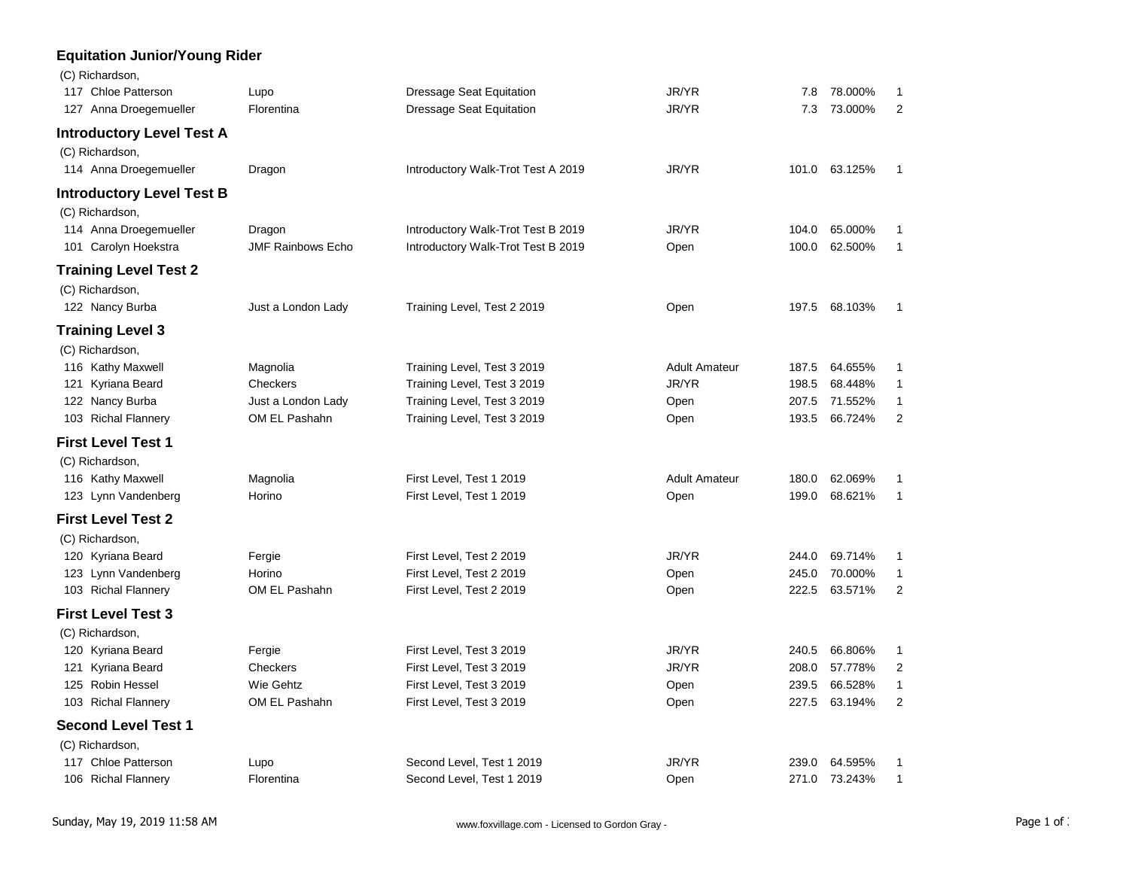## **Equitation Junior/Young Rider**

| (C) Richardson,<br>117 Chloe Patterson | Lupo                     | <b>Dressage Seat Equitation</b>    | JR/YR                | 7.8   | 78.000%       | 1              |
|----------------------------------------|--------------------------|------------------------------------|----------------------|-------|---------------|----------------|
| 127 Anna Droegemueller                 | Florentina               | <b>Dressage Seat Equitation</b>    | JR/YR                | 7.3   | 73.000%       | $\overline{2}$ |
| <b>Introductory Level Test A</b>       |                          |                                    |                      |       |               |                |
| (C) Richardson,                        |                          |                                    |                      |       |               |                |
| 114 Anna Droegemueller                 | Dragon                   | Introductory Walk-Trot Test A 2019 | JR/YR                | 101.0 | 63.125%       | 1              |
| <b>Introductory Level Test B</b>       |                          |                                    |                      |       |               |                |
| (C) Richardson,                        |                          |                                    |                      |       |               |                |
| 114 Anna Droegemueller                 | Dragon                   | Introductory Walk-Trot Test B 2019 | JR/YR                | 104.0 | 65.000%       | 1              |
| 101 Carolyn Hoekstra                   | <b>JMF Rainbows Echo</b> | Introductory Walk-Trot Test B 2019 | Open                 | 100.0 | 62.500%       | 1              |
| <b>Training Level Test 2</b>           |                          |                                    |                      |       |               |                |
| (C) Richardson,                        |                          |                                    |                      |       |               |                |
| 122 Nancy Burba                        | Just a London Lady       | Training Level, Test 2 2019        | Open                 | 197.5 | 68.103%       | 1              |
| <b>Training Level 3</b>                |                          |                                    |                      |       |               |                |
| (C) Richardson,                        |                          |                                    |                      |       |               |                |
| 116 Kathy Maxwell                      | Magnolia                 | Training Level, Test 3 2019        | <b>Adult Amateur</b> | 187.5 | 64.655%       | 1              |
| 121 Kyriana Beard                      | Checkers                 | Training Level, Test 3 2019        | JR/YR                | 198.5 | 68.448%       | 1              |
| 122 Nancy Burba                        | Just a London Lady       | Training Level, Test 3 2019        | Open                 | 207.5 | 71.552%       | 1              |
| 103 Richal Flannery                    | OM EL Pashahn            | Training Level, Test 3 2019        | Open                 | 193.5 | 66.724%       | $\overline{c}$ |
| <b>First Level Test 1</b>              |                          |                                    |                      |       |               |                |
| (C) Richardson,                        |                          |                                    |                      |       |               |                |
| 116 Kathy Maxwell                      | Magnolia                 | First Level, Test 1 2019           | <b>Adult Amateur</b> | 180.0 | 62.069%       | 1              |
| 123 Lynn Vandenberg                    | Horino                   | First Level, Test 1 2019           | Open                 | 199.0 | 68.621%       | 1              |
| <b>First Level Test 2</b>              |                          |                                    |                      |       |               |                |
| (C) Richardson,                        |                          |                                    |                      |       |               |                |
| 120 Kyriana Beard                      | Fergie                   | First Level, Test 2 2019           | JR/YR                | 244.0 | 69.714%       | 1              |
| 123 Lynn Vandenberg                    | Horino                   | First Level, Test 2 2019           | Open                 | 245.0 | 70.000%       | 1              |
| 103 Richal Flannery                    | OM EL Pashahn            | First Level, Test 2 2019           | Open                 | 222.5 | 63.571%       | $\overline{2}$ |
| <b>First Level Test 3</b>              |                          |                                    |                      |       |               |                |
| (C) Richardson,                        |                          |                                    |                      |       |               |                |
| 120 Kyriana Beard                      | Fergie                   | First Level, Test 3 2019           | JR/YR                | 240.5 | 66.806%       | 1              |
| 121 Kyriana Beard                      | Checkers                 | First Level, Test 3 2019           | JR/YR                | 208.0 | 57.778%       | $\overline{2}$ |
| 125 Robin Hessel                       | Wie Gehtz                | First Level, Test 3 2019           | Open                 | 239.5 | 66.528%       | 1              |
| 103 Richal Flannery                    | OM EL Pashahn            | First Level, Test 3 2019           | Open                 | 227.5 | 63.194%       | $\overline{2}$ |
| <b>Second Level Test 1</b>             |                          |                                    |                      |       |               |                |
| (C) Richardson,                        |                          |                                    |                      |       |               |                |
| 117 Chloe Patterson                    | Lupo                     | Second Level, Test 1 2019          | JR/YR                | 239.0 | 64.595%       | 1              |
| 106 Richal Flannery                    | Florentina               | Second Level, Test 1 2019          | Open                 |       | 271.0 73.243% | 1              |
|                                        |                          |                                    |                      |       |               |                |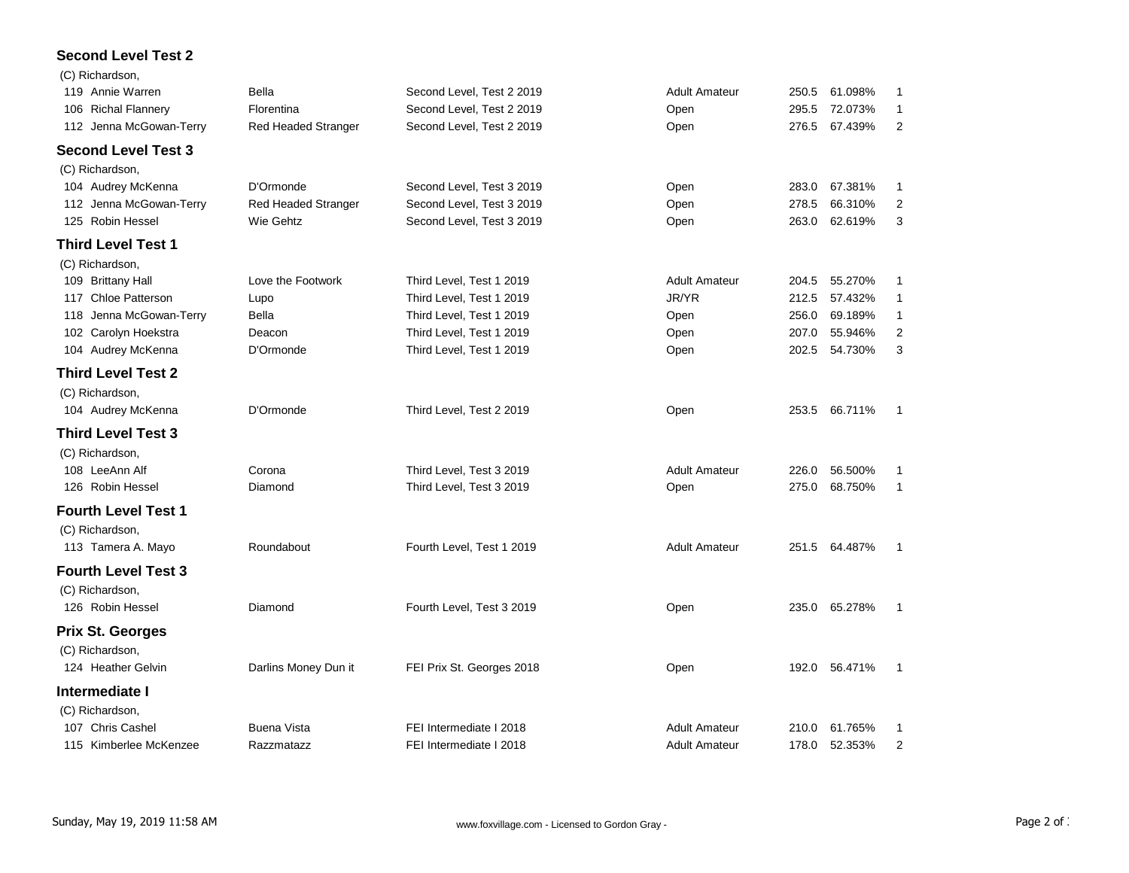## **Second Level Test 2**

| (C) Richardson,            |                            |                           |                      |       |               |                |
|----------------------------|----------------------------|---------------------------|----------------------|-------|---------------|----------------|
| 119 Annie Warren           | Bella                      | Second Level, Test 2 2019 | <b>Adult Amateur</b> | 250.5 | 61.098%       | 1              |
| 106 Richal Flannery        | Florentina                 | Second Level, Test 2 2019 | Open                 | 295.5 | 72.073%       | 1              |
| 112 Jenna McGowan-Terry    | <b>Red Headed Stranger</b> | Second Level, Test 2 2019 | Open                 | 276.5 | 67.439%       | $\overline{2}$ |
| <b>Second Level Test 3</b> |                            |                           |                      |       |               |                |
| (C) Richardson,            |                            |                           |                      |       |               |                |
| 104 Audrey McKenna         | D'Ormonde                  | Second Level, Test 3 2019 | Open                 | 283.0 | 67.381%       | 1              |
| 112 Jenna McGowan-Terry    | <b>Red Headed Stranger</b> | Second Level, Test 3 2019 | Open                 | 278.5 | 66.310%       | $\overline{2}$ |
| 125 Robin Hessel           | Wie Gehtz                  | Second Level, Test 3 2019 | Open                 | 263.0 | 62.619%       | 3              |
| <b>Third Level Test 1</b>  |                            |                           |                      |       |               |                |
| (C) Richardson,            |                            |                           |                      |       |               |                |
| 109 Brittany Hall          | Love the Footwork          | Third Level, Test 1 2019  | <b>Adult Amateur</b> | 204.5 | 55.270%       | 1              |
| 117 Chloe Patterson        | Lupo                       | Third Level, Test 1 2019  | JR/YR                | 212.5 | 57.432%       | 1              |
| 118 Jenna McGowan-Terry    | <b>Bella</b>               | Third Level, Test 1 2019  | Open                 | 256.0 | 69.189%       | 1              |
| 102 Carolyn Hoekstra       | Deacon                     | Third Level, Test 1 2019  | Open                 | 207.0 | 55.946%       | 2              |
| 104 Audrey McKenna         | D'Ormonde                  | Third Level, Test 1 2019  | Open                 | 202.5 | 54.730%       | 3              |
| <b>Third Level Test 2</b>  |                            |                           |                      |       |               |                |
| (C) Richardson,            |                            |                           |                      |       |               |                |
| 104 Audrey McKenna         | D'Ormonde                  | Third Level, Test 2 2019  | Open                 | 253.5 | 66.711%       | 1              |
| <b>Third Level Test 3</b>  |                            |                           |                      |       |               |                |
| (C) Richardson,            |                            |                           |                      |       |               |                |
| 108 LeeAnn Alf             | Corona                     | Third Level, Test 3 2019  | <b>Adult Amateur</b> | 226.0 | 56.500%       | 1              |
| 126 Robin Hessel           | Diamond                    | Third Level, Test 3 2019  | Open                 | 275.0 | 68.750%       | $\mathbf{1}$   |
| <b>Fourth Level Test 1</b> |                            |                           |                      |       |               |                |
| (C) Richardson,            |                            |                           |                      |       |               |                |
| 113 Tamera A. Mayo         | Roundabout                 | Fourth Level, Test 1 2019 | <b>Adult Amateur</b> | 251.5 | 64.487%       | 1              |
| <b>Fourth Level Test 3</b> |                            |                           |                      |       |               |                |
| (C) Richardson,            |                            |                           |                      |       |               |                |
| 126 Robin Hessel           | Diamond                    | Fourth Level, Test 3 2019 | Open                 | 235.0 | 65.278%       | 1              |
| <b>Prix St. Georges</b>    |                            |                           |                      |       |               |                |
| (C) Richardson,            |                            |                           |                      |       |               |                |
| 124 Heather Gelvin         | Darlins Money Dun it       | FEI Prix St. Georges 2018 | Open                 |       | 192.0 56.471% | 1              |
| Intermediate I             |                            |                           |                      |       |               |                |
| (C) Richardson,            |                            |                           |                      |       |               |                |
| 107 Chris Cashel           | <b>Buena Vista</b>         | FEI Intermediate I 2018   | <b>Adult Amateur</b> | 210.0 | 61.765%       | 1              |
| 115 Kimberlee McKenzee     | Razzmatazz                 | FEI Intermediate I 2018   | <b>Adult Amateur</b> | 178.0 | 52.353%       | $\overline{2}$ |
|                            |                            |                           |                      |       |               |                |